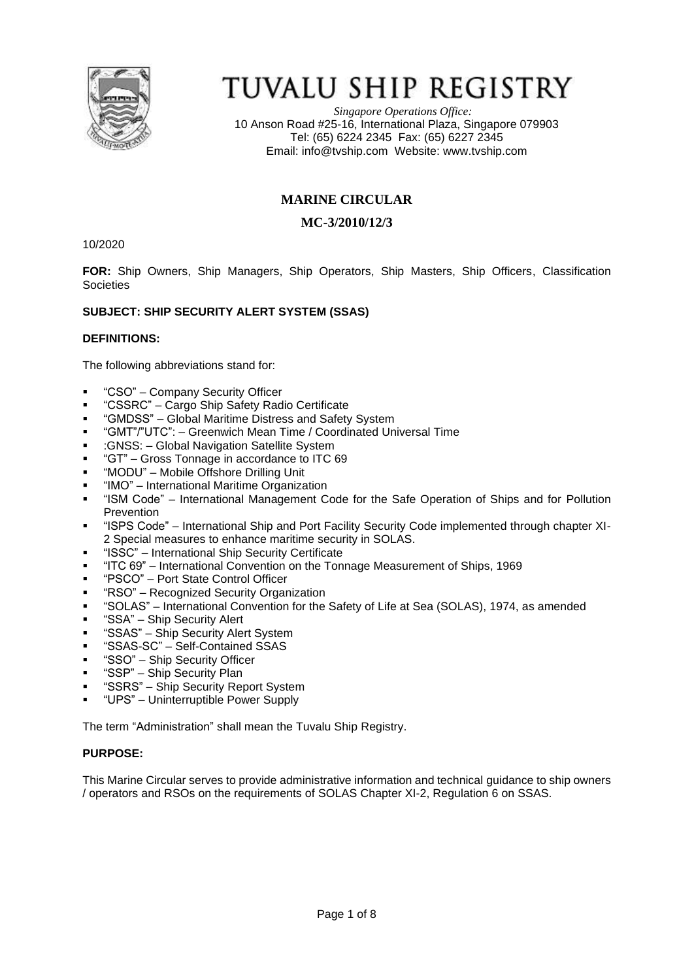

# TUVALU SHIP REGISTRY

*Singapore Operations Office:* 10 Anson Road #25-16, International Plaza, Singapore 079903 Tel: (65) 6224 2345 Fax: (65) 6227 2345 Email: [info@tvship.com](mailto:info@tvship.com) Website: [www.tvship.com](http://www.tvship.com/)

# **MARINE CIRCULAR**

# **MC-3/2010/12/3**

10/2020

**FOR:** Ship Owners, Ship Managers, Ship Operators, Ship Masters, Ship Officers, Classification Societies

# **SUBJECT: SHIP SECURITY ALERT SYSTEM (SSAS)**

#### **DEFINITIONS:**

The following abbreviations stand for:

- "CSO" Company Security Officer
- "CSSRC" Cargo Ship Safety Radio Certificate
- "GMDSS" Global Maritime Distress and Safety System
- "GMT"/"UTC": Greenwich Mean Time / Coordinated Universal Time
- :GNSS: Global Navigation Satellite System
- "GT" Gross Tonnage in accordance to ITC 69
- "MODU" Mobile Offshore Drilling Unit
- "IMO" International Maritime Organization
- "ISM Code" International Management Code for the Safe Operation of Ships and for Pollution **Prevention**
- "ISPS Code" International Ship and Port Facility Security Code implemented through chapter XI-2 Special measures to enhance maritime security in SOLAS.
- "ISSC" International Ship Security Certificate
- "ITC 69" International Convention on the Tonnage Measurement of Ships, 1969
- "PSCO" Port State Control Officer
- "RSO" Recognized Security Organization
- "SOLAS" International Convention for the Safety of Life at Sea (SOLAS), 1974, as amended
- "SSA" Ship Security Alert
- **•** "SSAS" Ship Security Alert System
- "SSAS-SC" Self-Contained SSAS
- "SSO" Ship Security Officer
- "SSP" Ship Security Plan
- "SSRS" Ship Security Report System
- "UPS" Uninterruptible Power Supply

The term "Administration" shall mean the Tuvalu Ship Registry.

#### **PURPOSE:**

This Marine Circular serves to provide administrative information and technical guidance to ship owners / operators and RSOs on the requirements of SOLAS Chapter XI-2, Regulation 6 on SSAS.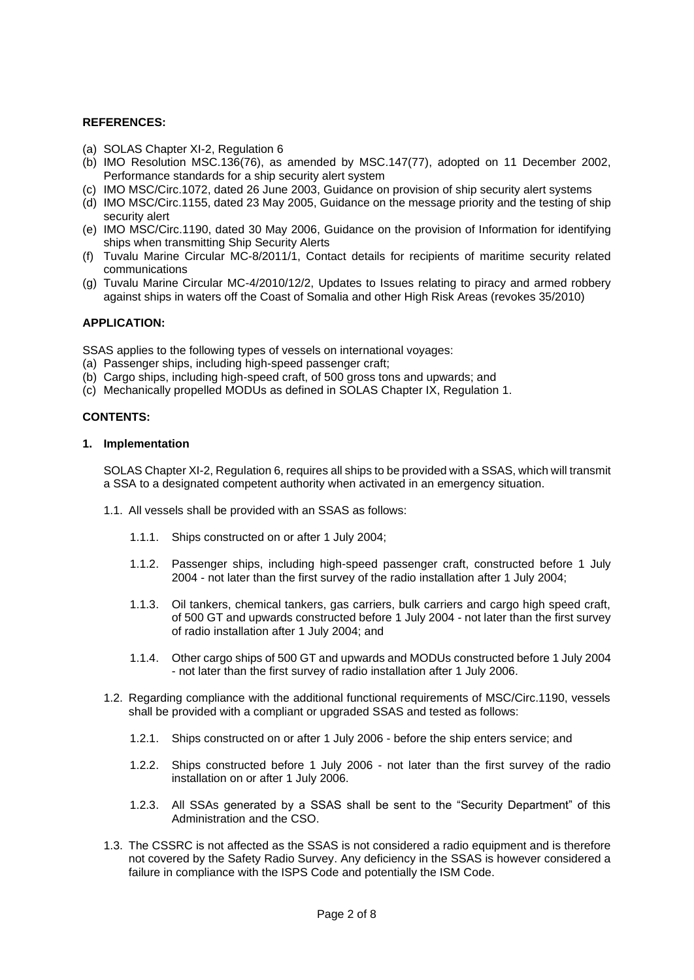#### **REFERENCES:**

- (a) SOLAS Chapter XI-2, Regulation 6
- (b) IMO Resolution MSC.136(76), as amended by MSC.147(77), adopted on 11 December 2002, Performance standards for a ship security alert system
- (c) IMO MSC/Circ.1072, dated 26 June 2003, Guidance on provision of ship security alert systems
- (d) IMO MSC/Circ.1155, dated 23 May 2005, Guidance on the message priority and the testing of ship security alert
- (e) IMO MSC/Circ.1190, dated 30 May 2006, Guidance on the provision of Information for identifying ships when transmitting Ship Security Alerts
- (f) Tuvalu Marine Circular MC-8/2011/1, Contact details for recipients of maritime security related communications
- (g) Tuvalu Marine Circular MC-4/2010/12/2, Updates to Issues relating to piracy and armed robbery against ships in waters off the Coast of Somalia and other High Risk Areas (revokes 35/2010)

#### **APPLICATION:**

SSAS applies to the following types of vessels on international voyages:

- (a) Passenger ships, including high-speed passenger craft;
- (b) Cargo ships, including high-speed craft, of 500 gross tons and upwards; and
- (c) Mechanically propelled MODUs as defined in SOLAS Chapter IX, Regulation 1.

#### **CONTENTS:**

#### **1. Implementation**

SOLAS Chapter XI-2, Regulation 6, requires all ships to be provided with a SSAS, which will transmit a SSA to a designated competent authority when activated in an emergency situation.

- 1.1. All vessels shall be provided with an SSAS as follows:
	- 1.1.1. Ships constructed on or after 1 July 2004;
	- 1.1.2. Passenger ships, including high-speed passenger craft, constructed before 1 July 2004 - not later than the first survey of the radio installation after 1 July 2004;
	- 1.1.3. Oil tankers, chemical tankers, gas carriers, bulk carriers and cargo high speed craft, of 500 GT and upwards constructed before 1 July 2004 - not later than the first survey of radio installation after 1 July 2004; and
	- 1.1.4. Other cargo ships of 500 GT and upwards and MODUs constructed before 1 July 2004 - not later than the first survey of radio installation after 1 July 2006.
- 1.2. Regarding compliance with the additional functional requirements of MSC/Circ.1190, vessels shall be provided with a compliant or upgraded SSAS and tested as follows:
	- 1.2.1. Ships constructed on or after 1 July 2006 before the ship enters service; and
	- 1.2.2. Ships constructed before 1 July 2006 not later than the first survey of the radio installation on or after 1 July 2006.
	- 1.2.3. All SSAs generated by a SSAS shall be sent to the "Security Department" of this Administration and the CSO.
- 1.3. The CSSRC is not affected as the SSAS is not considered a radio equipment and is therefore not covered by the Safety Radio Survey. Any deficiency in the SSAS is however considered a failure in compliance with the ISPS Code and potentially the ISM Code.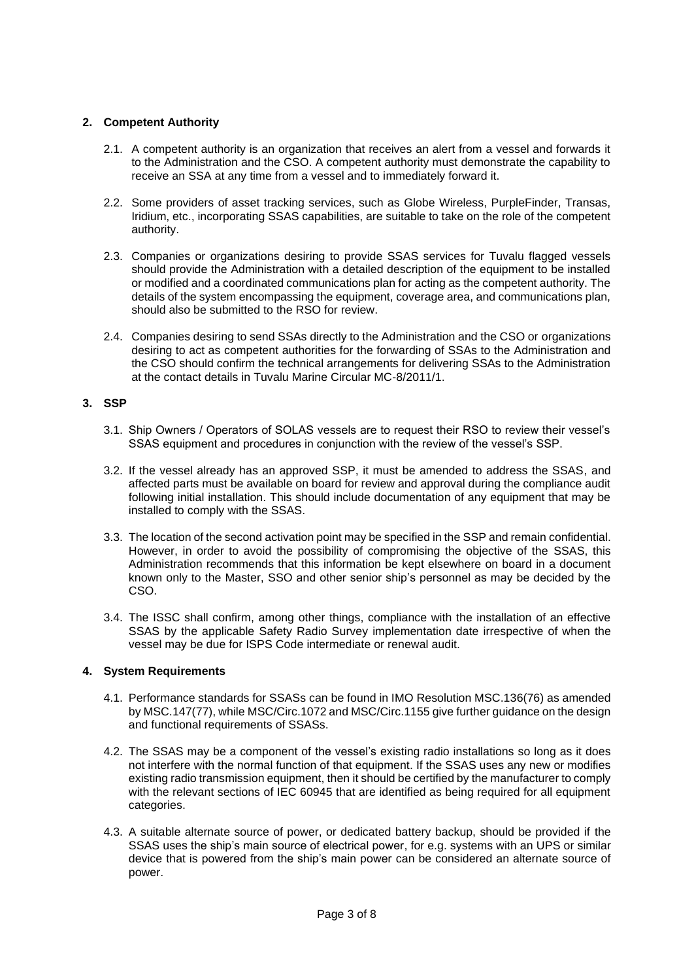# **2. Competent Authority**

- 2.1. A competent authority is an organization that receives an alert from a vessel and forwards it to the Administration and the CSO. A competent authority must demonstrate the capability to receive an SSA at any time from a vessel and to immediately forward it.
- 2.2. Some providers of asset tracking services, such as Globe Wireless, PurpleFinder, Transas, Iridium, etc., incorporating SSAS capabilities, are suitable to take on the role of the competent authority.
- 2.3. Companies or organizations desiring to provide SSAS services for Tuvalu flagged vessels should provide the Administration with a detailed description of the equipment to be installed or modified and a coordinated communications plan for acting as the competent authority. The details of the system encompassing the equipment, coverage area, and communications plan, should also be submitted to the RSO for review.
- 2.4. Companies desiring to send SSAs directly to the Administration and the CSO or organizations desiring to act as competent authorities for the forwarding of SSAs to the Administration and the CSO should confirm the technical arrangements for delivering SSAs to the Administration at the contact details in Tuvalu Marine Circular MC-8/2011/1.

#### **3. SSP**

- 3.1. Ship Owners / Operators of SOLAS vessels are to request their RSO to review their vessel's SSAS equipment and procedures in conjunction with the review of the vessel's SSP.
- 3.2. If the vessel already has an approved SSP, it must be amended to address the SSAS, and affected parts must be available on board for review and approval during the compliance audit following initial installation. This should include documentation of any equipment that may be installed to comply with the SSAS.
- 3.3. The location of the second activation point may be specified in the SSP and remain confidential. However, in order to avoid the possibility of compromising the objective of the SSAS, this Administration recommends that this information be kept elsewhere on board in a document known only to the Master, SSO and other senior ship's personnel as may be decided by the CSO.
- 3.4. The ISSC shall confirm, among other things, compliance with the installation of an effective SSAS by the applicable Safety Radio Survey implementation date irrespective of when the vessel may be due for ISPS Code intermediate or renewal audit.

#### **4. System Requirements**

- 4.1. Performance standards for SSASs can be found in IMO Resolution MSC.136(76) as amended by MSC.147(77), while MSC/Circ.1072 and MSC/Circ.1155 give further guidance on the design and functional requirements of SSASs.
- 4.2. The SSAS may be a component of the vessel's existing radio installations so long as it does not interfere with the normal function of that equipment. If the SSAS uses any new or modifies existing radio transmission equipment, then it should be certified by the manufacturer to comply with the relevant sections of IEC 60945 that are identified as being required for all equipment categories.
- 4.3. A suitable alternate source of power, or dedicated battery backup, should be provided if the SSAS uses the ship's main source of electrical power, for e.g. systems with an UPS or similar device that is powered from the ship's main power can be considered an alternate source of power.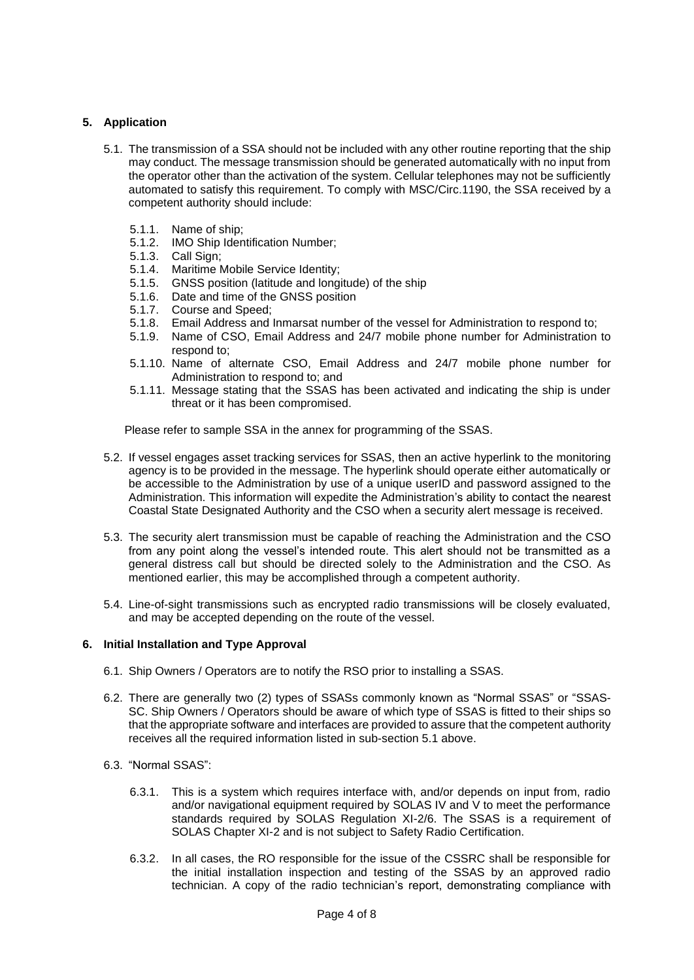# **5. Application**

- 5.1. The transmission of a SSA should not be included with any other routine reporting that the ship may conduct. The message transmission should be generated automatically with no input from the operator other than the activation of the system. Cellular telephones may not be sufficiently automated to satisfy this requirement. To comply with MSC/Circ.1190, the SSA received by a competent authority should include:
	- 5.1.1. Name of ship;
	- 5.1.2. IMO Ship Identification Number;
	- 5.1.3. Call Sign;
	- 5.1.4. Maritime Mobile Service Identity;
	- 5.1.5. GNSS position (latitude and longitude) of the ship
	- 5.1.6. Date and time of the GNSS position
	- 5.1.7. Course and Speed;
	- 5.1.8. Email Address and Inmarsat number of the vessel for Administration to respond to;
	- 5.1.9. Name of CSO, Email Address and 24/7 mobile phone number for Administration to respond to;
	- 5.1.10. Name of alternate CSO, Email Address and 24/7 mobile phone number for Administration to respond to; and
	- 5.1.11. Message stating that the SSAS has been activated and indicating the ship is under threat or it has been compromised.

Please refer to sample SSA in the annex for programming of the SSAS.

- 5.2. If vessel engages asset tracking services for SSAS, then an active hyperlink to the monitoring agency is to be provided in the message. The hyperlink should operate either automatically or be accessible to the Administration by use of a unique userID and password assigned to the Administration. This information will expedite the Administration's ability to contact the nearest Coastal State Designated Authority and the CSO when a security alert message is received.
- 5.3. The security alert transmission must be capable of reaching the Administration and the CSO from any point along the vessel's intended route. This alert should not be transmitted as a general distress call but should be directed solely to the Administration and the CSO. As mentioned earlier, this may be accomplished through a competent authority.
- 5.4. Line-of-sight transmissions such as encrypted radio transmissions will be closely evaluated, and may be accepted depending on the route of the vessel.

#### **6. Initial Installation and Type Approval**

- 6.1. Ship Owners / Operators are to notify the RSO prior to installing a SSAS.
- 6.2. There are generally two (2) types of SSASs commonly known as "Normal SSAS" or "SSAS-SC. Ship Owners / Operators should be aware of which type of SSAS is fitted to their ships so that the appropriate software and interfaces are provided to assure that the competent authority receives all the required information listed in sub-section 5.1 above.
- 6.3. "Normal SSAS":
	- 6.3.1. This is a system which requires interface with, and/or depends on input from, radio and/or navigational equipment required by SOLAS IV and V to meet the performance standards required by SOLAS Regulation XI-2/6. The SSAS is a requirement of SOLAS Chapter XI-2 and is not subject to Safety Radio Certification.
	- 6.3.2. In all cases, the RO responsible for the issue of the CSSRC shall be responsible for the initial installation inspection and testing of the SSAS by an approved radio technician. A copy of the radio technician's report, demonstrating compliance with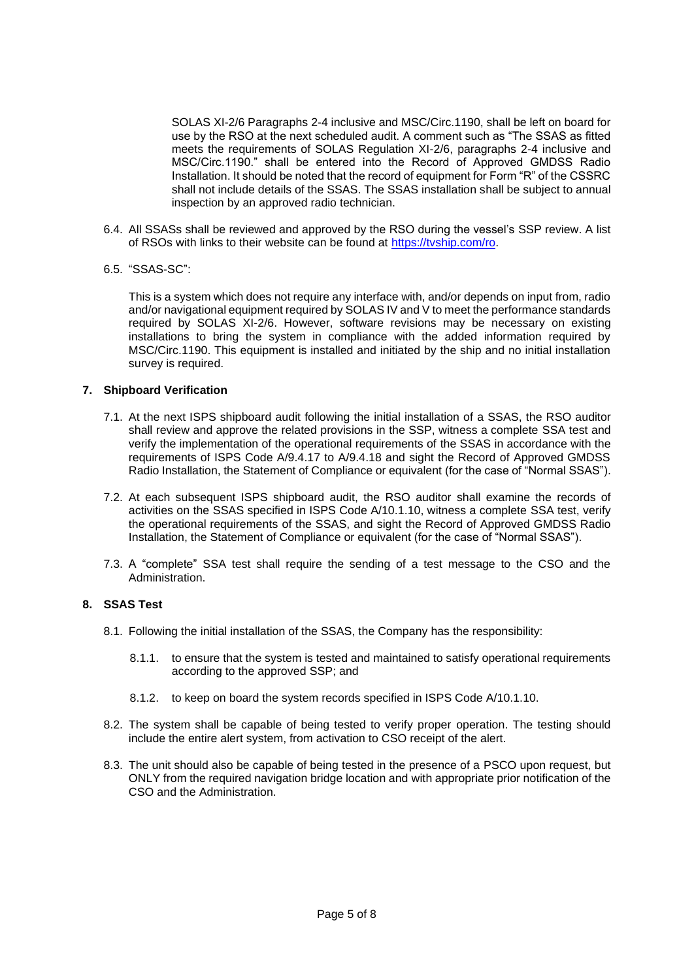SOLAS XI-2/6 Paragraphs 2-4 inclusive and MSC/Circ.1190, shall be left on board for use by the RSO at the next scheduled audit. A comment such as "The SSAS as fitted meets the requirements of SOLAS Regulation XI-2/6, paragraphs 2-4 inclusive and MSC/Circ.1190." shall be entered into the Record of Approved GMDSS Radio Installation. It should be noted that the record of equipment for Form "R" of the CSSRC shall not include details of the SSAS. The SSAS installation shall be subject to annual inspection by an approved radio technician.

- 6.4. All SSASs shall be reviewed and approved by the RSO during the vessel's SSP review. A list of RSOs with links to their website can be found at [https://tvship.com/ro.](https://tvship.com/ro)
- 6.5. "SSAS-SC":

This is a system which does not require any interface with, and/or depends on input from, radio and/or navigational equipment required by SOLAS IV and V to meet the performance standards required by SOLAS XI-2/6. However, software revisions may be necessary on existing installations to bring the system in compliance with the added information required by MSC/Circ.1190. This equipment is installed and initiated by the ship and no initial installation survey is required.

#### **7. Shipboard Verification**

- 7.1. At the next ISPS shipboard audit following the initial installation of a SSAS, the RSO auditor shall review and approve the related provisions in the SSP, witness a complete SSA test and verify the implementation of the operational requirements of the SSAS in accordance with the requirements of ISPS Code A/9.4.17 to A/9.4.18 and sight the Record of Approved GMDSS Radio Installation, the Statement of Compliance or equivalent (for the case of "Normal SSAS").
- 7.2. At each subsequent ISPS shipboard audit, the RSO auditor shall examine the records of activities on the SSAS specified in ISPS Code A/10.1.10, witness a complete SSA test, verify the operational requirements of the SSAS, and sight the Record of Approved GMDSS Radio Installation, the Statement of Compliance or equivalent (for the case of "Normal SSAS").
- 7.3. A "complete" SSA test shall require the sending of a test message to the CSO and the Administration.

# **8. SSAS Test**

- 8.1. Following the initial installation of the SSAS, the Company has the responsibility:
	- 8.1.1. to ensure that the system is tested and maintained to satisfy operational requirements according to the approved SSP; and
	- 8.1.2. to keep on board the system records specified in ISPS Code A/10.1.10.
- 8.2. The system shall be capable of being tested to verify proper operation. The testing should include the entire alert system, from activation to CSO receipt of the alert.
- 8.3. The unit should also be capable of being tested in the presence of a PSCO upon request, but ONLY from the required navigation bridge location and with appropriate prior notification of the CSO and the Administration.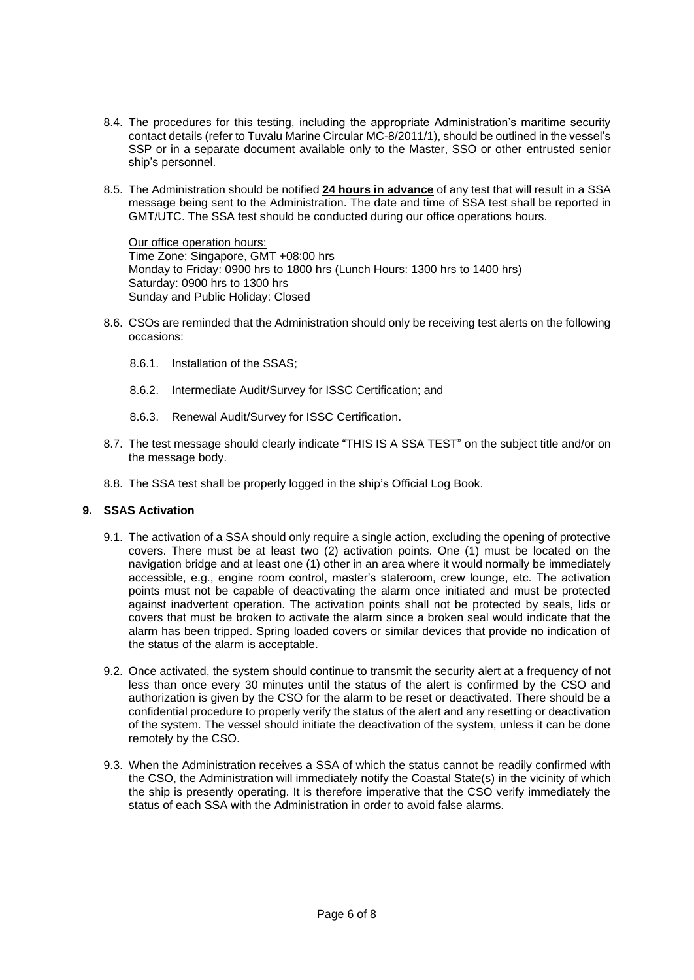- 8.4. The procedures for this testing, including the appropriate Administration's maritime security contact details (refer to Tuvalu Marine Circular MC-8/2011/1), should be outlined in the vessel's SSP or in a separate document available only to the Master, SSO or other entrusted senior ship's personnel.
- 8.5. The Administration should be notified **24 hours in advance** of any test that will result in a SSA message being sent to the Administration. The date and time of SSA test shall be reported in GMT/UTC. The SSA test should be conducted during our office operations hours.

Our office operation hours: Time Zone: Singapore, GMT +08:00 hrs Monday to Friday: 0900 hrs to 1800 hrs (Lunch Hours: 1300 hrs to 1400 hrs) Saturday: 0900 hrs to 1300 hrs Sunday and Public Holiday: Closed

- 8.6. CSOs are reminded that the Administration should only be receiving test alerts on the following occasions:
	- 8.6.1. Installation of the SSAS;
	- 8.6.2. Intermediate Audit/Survey for ISSC Certification; and
	- 8.6.3. Renewal Audit/Survey for ISSC Certification.
- 8.7. The test message should clearly indicate "THIS IS A SSA TEST" on the subject title and/or on the message body.
- 8.8. The SSA test shall be properly logged in the ship's Official Log Book.

#### **9. SSAS Activation**

- 9.1. The activation of a SSA should only require a single action, excluding the opening of protective covers. There must be at least two (2) activation points. One (1) must be located on the navigation bridge and at least one (1) other in an area where it would normally be immediately accessible, e.g., engine room control, master's stateroom, crew lounge, etc. The activation points must not be capable of deactivating the alarm once initiated and must be protected against inadvertent operation. The activation points shall not be protected by seals, lids or covers that must be broken to activate the alarm since a broken seal would indicate that the alarm has been tripped. Spring loaded covers or similar devices that provide no indication of the status of the alarm is acceptable.
- 9.2. Once activated, the system should continue to transmit the security alert at a frequency of not less than once every 30 minutes until the status of the alert is confirmed by the CSO and authorization is given by the CSO for the alarm to be reset or deactivated. There should be a confidential procedure to properly verify the status of the alert and any resetting or deactivation of the system. The vessel should initiate the deactivation of the system, unless it can be done remotely by the CSO.
- 9.3. When the Administration receives a SSA of which the status cannot be readily confirmed with the CSO, the Administration will immediately notify the Coastal State(s) in the vicinity of which the ship is presently operating. It is therefore imperative that the CSO verify immediately the status of each SSA with the Administration in order to avoid false alarms.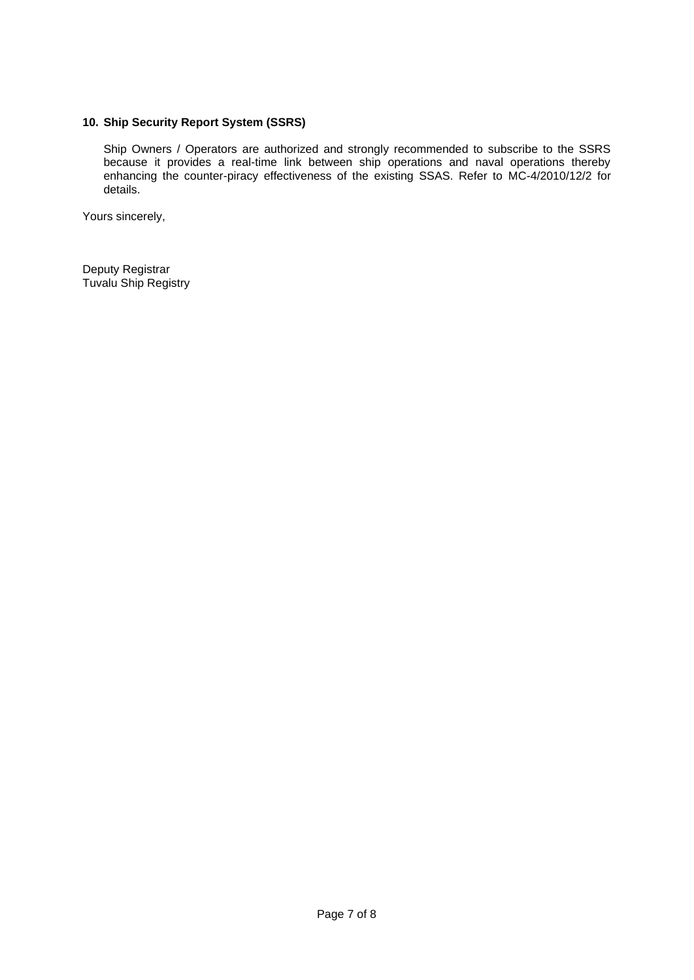# **10. Ship Security Report System (SSRS)**

Ship Owners / Operators are authorized and strongly recommended to subscribe to the SSRS because it provides a real-time link between ship operations and naval operations thereby enhancing the counter-piracy effectiveness of the existing SSAS. Refer to MC-4/2010/12/2 for details.

Yours sincerely,

Deputy Registrar Tuvalu Ship Registry